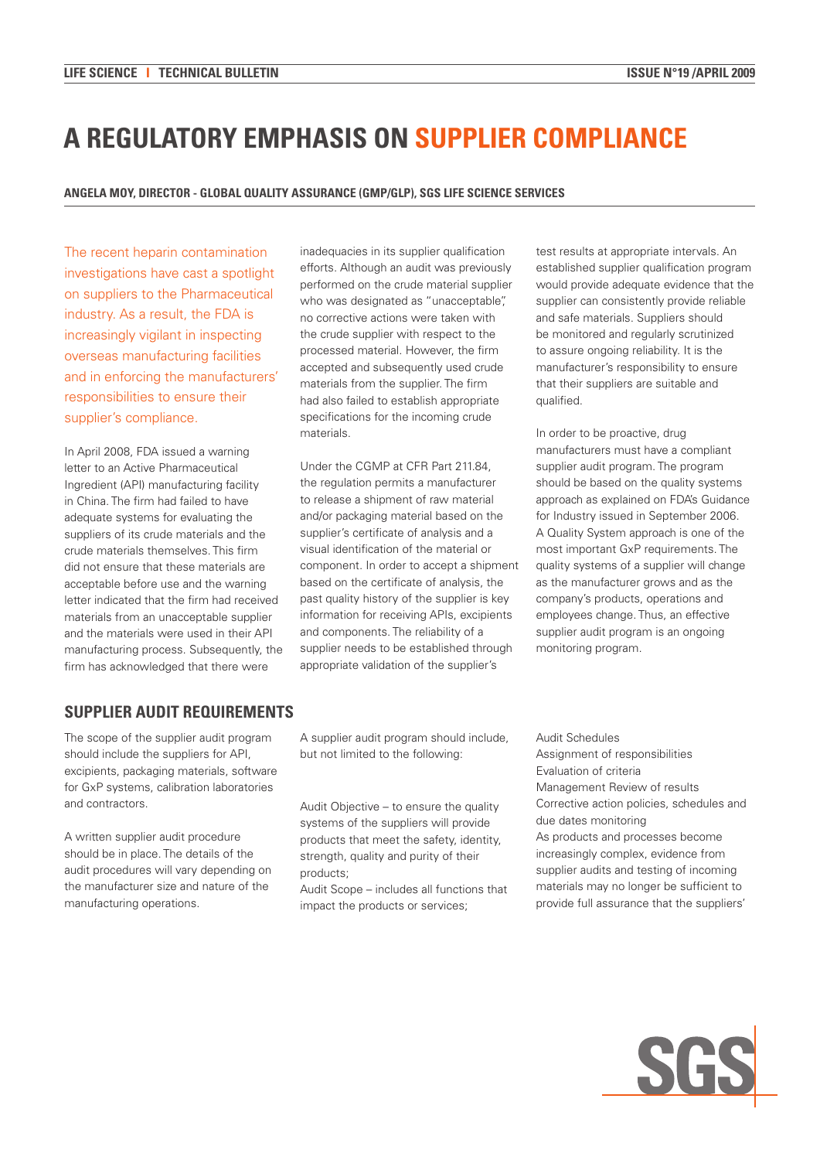# **A REGULATORY EMPHASIS ON SUPPLIER COMPLIANCE**

### **Angela Moy, Director - Global Quality Assurance (GMP/GLP), SGS Life Science Services**

The recent heparin contamination investigations have cast a spotlight on suppliers to the Pharmaceutical industry. As a result, the FDA is increasingly vigilant in inspecting overseas manufacturing facilities and in enforcing the manufacturers' responsibilities to ensure their supplier's compliance.

In April 2008, FDA issued a warning letter to an Active Pharmaceutical Ingredient (API) manufacturing facility in China. The firm had failed to have adequate systems for evaluating the suppliers of its crude materials and the crude materials themselves. This firm did not ensure that these materials are acceptable before use and the warning letter indicated that the firm had received materials from an unacceptable supplier and the materials were used in their API manufacturing process. Subsequently, the firm has acknowledged that there were

inadequacies in its supplier qualification efforts. Although an audit was previously performed on the crude material supplier who was designated as "unacceptable", no corrective actions were taken with the crude supplier with respect to the processed material. However, the firm accepted and subsequently used crude materials from the supplier. The firm had also failed to establish appropriate specifications for the incoming crude materials.

Under the CGMP at CFR Part 211.84, the regulation permits a manufacturer to release a shipment of raw material and/or packaging material based on the supplier's certificate of analysis and a visual identification of the material or component. In order to accept a shipment based on the certificate of analysis, the past quality history of the supplier is key information for receiving APIs, excipients and components. The reliability of a supplier needs to be established through appropriate validation of the supplier's

test results at appropriate intervals. An established supplier qualification program would provide adequate evidence that the supplier can consistently provide reliable and safe materials. Suppliers should be monitored and regularly scrutinized to assure ongoing reliability. It is the manufacturer's responsibility to ensure that their suppliers are suitable and qualified.

In order to be proactive, drug manufacturers must have a compliant supplier audit program. The program should be based on the quality systems approach as explained on FDA's Guidance for Industry issued in September 2006. A Quality System approach is one of the most important GxP requirements. The quality systems of a supplier will change as the manufacturer grows and as the company's products, operations and employees change. Thus, an effective supplier audit program is an ongoing monitoring program.

## **Supplier Audit Requirements**

The scope of the supplier audit program should include the suppliers for API, excipients, packaging materials, software for GxP systems, calibration laboratories and contractors.

A written supplier audit procedure should be in place. The details of the audit procedures will vary depending on the manufacturer size and nature of the manufacturing operations.

A supplier audit program should include, but not limited to the following:

Audit Objective – to ensure the quality systems of the suppliers will provide products that meet the safety, identity, strength, quality and purity of their products;

Audit Scope – includes all functions that impact the products or services;

Audit Schedules Assignment of responsibilities Evaluation of criteria Management Review of results Corrective action policies, schedules and due dates monitoring As products and processes become increasingly complex, evidence from supplier audits and testing of incoming materials may no longer be sufficient to provide full assurance that the suppliers'

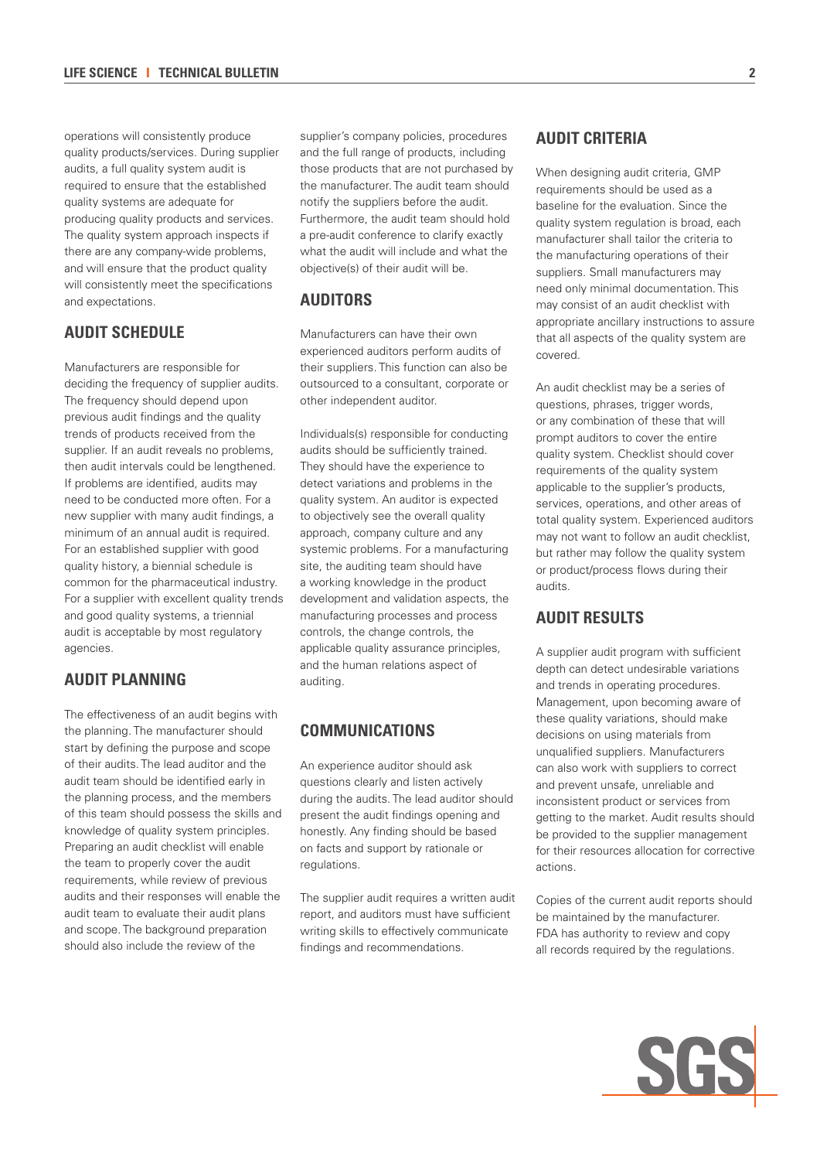operations will consistently produce quality products/services. During supplier audits, a full quality system audit is required to ensure that the established quality systems are adequate for producing quality products and services. The quality system approach inspects if there are any company-wide problems, and will ensure that the product quality will consistently meet the specifications and expectations.

# **Audit Schedule**

Manufacturers are responsible for deciding the frequency of supplier audits. The frequency should depend upon previous audit findings and the quality trends of products received from the supplier. If an audit reveals no problems, then audit intervals could be lengthened. If problems are identified, audits may need to be conducted more often. For a new supplier with many audit findings, a minimum of an annual audit is required. For an established supplier with good quality history, a biennial schedule is common for the pharmaceutical industry. For a supplier with excellent quality trends and good quality systems, a triennial audit is acceptable by most regulatory agencies.

# **Audit Planning**

The effectiveness of an audit begins with the planning. The manufacturer should start by defining the purpose and scope of their audits. The lead auditor and the audit team should be identified early in the planning process, and the members of this team should possess the skills and knowledge of quality system principles. Preparing an audit checklist will enable the team to properly cover the audit requirements, while review of previous audits and their responses will enable the audit team to evaluate their audit plans and scope. The background preparation should also include the review of the

supplier's company policies, procedures and the full range of products, including those products that are not purchased by the manufacturer. The audit team should notify the suppliers before the audit. Furthermore, the audit team should hold a pre-audit conference to clarify exactly what the audit will include and what the objective(s) of their audit will be.

# **Auditors**

Manufacturers can have their own experienced auditors perform audits of their suppliers. This function can also be outsourced to a consultant, corporate or other independent auditor.

Individuals(s) responsible for conducting audits should be sufficiently trained. They should have the experience to detect variations and problems in the quality system. An auditor is expected to objectively see the overall quality approach, company culture and any systemic problems. For a manufacturing site, the auditing team should have a working knowledge in the product development and validation aspects, the manufacturing processes and process controls, the change controls, the applicable quality assurance principles, and the human relations aspect of auditing.

# **Communications**

An experience auditor should ask questions clearly and listen actively during the audits. The lead auditor should present the audit findings opening and honestly. Any finding should be based on facts and support by rationale or regulations.

The supplier audit requires a written audit report, and auditors must have sufficient writing skills to effectively communicate findings and recommendations.

# **Audit Criteria**

When designing audit criteria, GMP requirements should be used as a baseline for the evaluation. Since the quality system regulation is broad, each manufacturer shall tailor the criteria to the manufacturing operations of their suppliers. Small manufacturers may need only minimal documentation. This may consist of an audit checklist with appropriate ancillary instructions to assure that all aspects of the quality system are covered.

An audit checklist may be a series of questions, phrases, trigger words, or any combination of these that will prompt auditors to cover the entire quality system. Checklist should cover requirements of the quality system applicable to the supplier's products, services, operations, and other areas of total quality system. Experienced auditors may not want to follow an audit checklist, but rather may follow the quality system or product/process flows during their audits.

## **Audit Results**

A supplier audit program with sufficient depth can detect undesirable variations and trends in operating procedures. Management, upon becoming aware of these quality variations, should make decisions on using materials from unqualified suppliers. Manufacturers can also work with suppliers to correct and prevent unsafe, unreliable and inconsistent product or services from getting to the market. Audit results should be provided to the supplier management for their resources allocation for corrective actions.

Copies of the current audit reports should be maintained by the manufacturer. FDA has authority to review and copy all records required by the regulations.